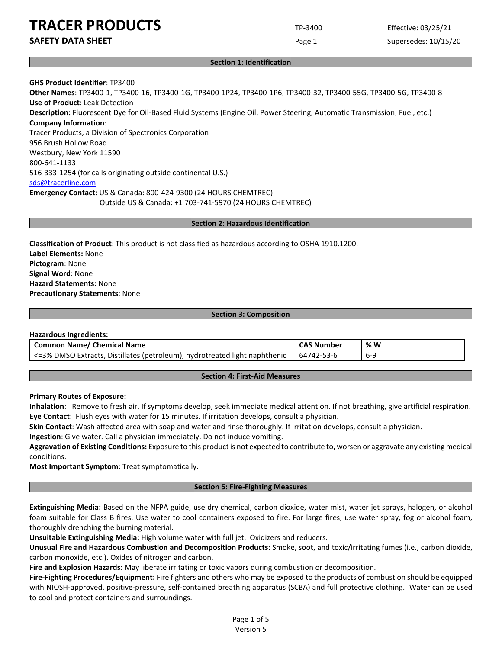**SAFETY DATA SHEET** SUPERFOUR CONSUMING THE Page 1 Supersedes: 10/15/20

#### **Section 1: Identification**

**GHS Product Identifier**: TP3400 **Other Names**: TP3400-1, TP3400-16, TP3400-1G, TP3400-1P24, TP3400-1P6, TP3400-32, TP3400-55G, TP3400-5G, TP3400-8 **Use of Product**: Leak Detection **Description:** Fluorescent Dye for Oil-Based Fluid Systems (Engine Oil, Power Steering, Automatic Transmission, Fuel, etc.) **Company Information**: Tracer Products, a Division of Spectronics Corporation 956 Brush Hollow Road Westbury, New York 11590 800-641-1133 516-333-1254 (for calls originating outside continental U.S.) [sds@tracerline.com](mailto:sds@tracerline.com) **Emergency Contact**: US & Canada: 800-424-9300 (24 HOURS CHEMTREC) Outside US & Canada: +1 703-741-5970 (24 HOURS CHEMTREC)

#### **Section 2: Hazardous Identification**

**Classification of Product**: This product is not classified as hazardous according to OSHA 1910.1200. **Label Elements:** None **Pictogram**: None **Signal Word**: None **Hazard Statements:** None **Precautionary Statements**: None

#### **Section 3: Composition**

#### **Hazardous Ingredients:**

| Common Name/ Chemical Name                                                 | <b>CAS Number</b> | % W |
|----------------------------------------------------------------------------|-------------------|-----|
| <=3% DMSO Extracts, Distillates (petroleum), hydrotreated light naphthenic | 64742-53-6        | 6-9 |

#### **Section 4: First-Aid Measures**

#### **Primary Routes of Exposure:**

**Inhalation**: Remove to fresh air. If symptoms develop, seek immediate medical attention. If not breathing, give artificial respiration. **Eye Contact**: Flush eyes with water for 15 minutes. If irritation develops, consult a physician.

**Skin Contact**: Wash affected area with soap and water and rinse thoroughly. If irritation develops, consult a physician.

**Ingestion**: Give water. Call a physician immediately. Do not induce vomiting.

**Aggravation of Existing Conditions:** Exposure to this product is not expected to contribute to, worsen or aggravate any existing medical conditions.

**Most Important Symptom**: Treat symptomatically.

#### **Section 5: Fire-Fighting Measures**

**Extinguishing Media:** Based on the NFPA guide, use dry chemical, carbon dioxide, water mist, water jet sprays, halogen, or alcohol foam suitable for Class B fires. Use water to cool containers exposed to fire. For large fires, use water spray, fog or alcohol foam, thoroughly drenching the burning material.

**Unsuitable Extinguishing Media:** High volume water with full jet. Oxidizers and reducers.

**Unusual Fire and Hazardous Combustion and Decomposition Products:** Smoke, soot, and toxic/irritating fumes (i.e., carbon dioxide, carbon monoxide, etc.). Oxides of nitrogen and carbon.

**Fire and Explosion Hazards:** May liberate irritating or toxic vapors during combustion or decomposition.

**Fire-Fighting Procedures/Equipment:** Fire fighters and others who may be exposed to the products of combustion should be equipped with NIOSH-approved, positive-pressure, self-contained breathing apparatus (SCBA) and full protective clothing. Water can be used to cool and protect containers and surroundings.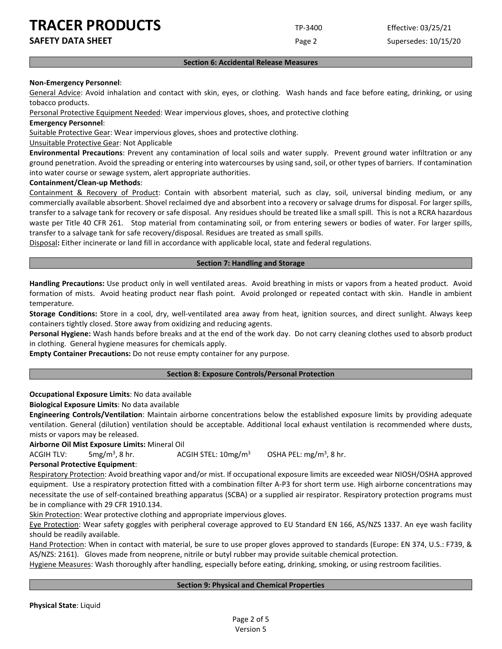**SAFETY DATA SHEET** SUPERFOUR SAFET ASSEMBLY 2 A REPORT OF Page 2 Supersedes: 10/15/20

#### **Section 6: Accidental Release Measures**

#### **Non-Emergency Personnel**:

General Advice: Avoid inhalation and contact with skin, eyes, or clothing. Wash hands and face before eating, drinking, or using tobacco products.

Personal Protective Equipment Needed: Wear impervious gloves, shoes, and protective clothing

**Emergency Personnel**:

Suitable Protective Gear: Wear impervious gloves, shoes and protective clothing.

Unsuitable Protective Gear: Not Applicable

**Environmental Precautions**: Prevent any contamination of local soils and water supply. Prevent ground water infiltration or any ground penetration. Avoid the spreading or entering into watercourses by using sand, soil, or other types of barriers. If contamination into water course or sewage system, alert appropriate authorities.

#### **Containment/Clean-up Methods**:

Containment & Recovery of Product: Contain with absorbent material, such as clay, soil, universal binding medium, or any commercially available absorbent. Shovel reclaimed dye and absorbent into a recovery or salvage drums for disposal. For larger spills, transfer to a salvage tank for recovery or safe disposal. Any residues should be treated like a small spill. This is not a RCRA hazardous waste per Title 40 CFR 261. Stop material from contaminating soil, or from entering sewers or bodies of water. For larger spills, transfer to a salvage tank for safe recovery/disposal. Residues are treated as small spills.

Disposal**:** Either incinerate or land fill in accordance with applicable local, state and federal regulations.

#### **Section 7: Handling and Storage**

**Handling Precautions:** Use product only in well ventilated areas. Avoid breathing in mists or vapors from a heated product. Avoid formation of mists. Avoid heating product near flash point. Avoid prolonged or repeated contact with skin. Handle in ambient temperature.

**Storage Conditions:** Store in a cool, dry, well-ventilated area away from heat, ignition sources, and direct sunlight. Always keep containers tightly closed. Store away from oxidizing and reducing agents.

**Personal Hygiene:** Wash hands before breaks and at the end of the work day. Do not carry cleaning clothes used to absorb product in clothing. General hygiene measures for chemicals apply.

**Empty Container Precautions:** Do not reuse empty container for any purpose.

#### **Section 8: Exposure Controls/Personal Protection**

# **Occupational Exposure Limits**: No data available

# **Biological Exposure Limits**: No data available

**Engineering Controls/Ventilation**: Maintain airborne concentrations below the established exposure limits by providing adequate ventilation. General (dilution) ventilation should be acceptable. Additional local exhaust ventilation is recommended where dusts, mists or vapors may be released.

**Airborne Oil Mist Exposure Limits:** Mineral Oil

ACGIH TLV:  $5mg/m<sup>3</sup>$ , 8 hr. ACGIH STEL:  $10$ mg/m<sup>3</sup> OSHA PEL:  $mg/m<sup>3</sup>$ , 8 hr.

# **Personal Protective Equipment**:

Respiratory Protection: Avoid breathing vapor and/or mist. If occupational exposure limits are exceeded wear NIOSH/OSHA approved equipment. Use a respiratory protection fitted with a combination filter A-P3 for short term use. High airborne concentrations may necessitate the use of self-contained breathing apparatus (SCBA) or a supplied air respirator. Respiratory protection programs must be in compliance with 29 CFR 1910.134.

Skin Protection: Wear protective clothing and appropriate impervious gloves.

Eye Protection: Wear safety goggles with peripheral coverage approved to EU Standard EN 166, AS/NZS 1337. An eye wash facility should be readily available.

Hand Protection: When in contact with material, be sure to use proper gloves approved to standards (Europe: EN 374, U.S.: F739, & AS/NZS: 2161). Gloves made from neoprene, nitrile or butyl rubber may provide suitable chemical protection.

Hygiene Measures: Wash thoroughly after handling, especially before eating, drinking, smoking, or using restroom facilities.

# **Section 9: Physical and Chemical Properties**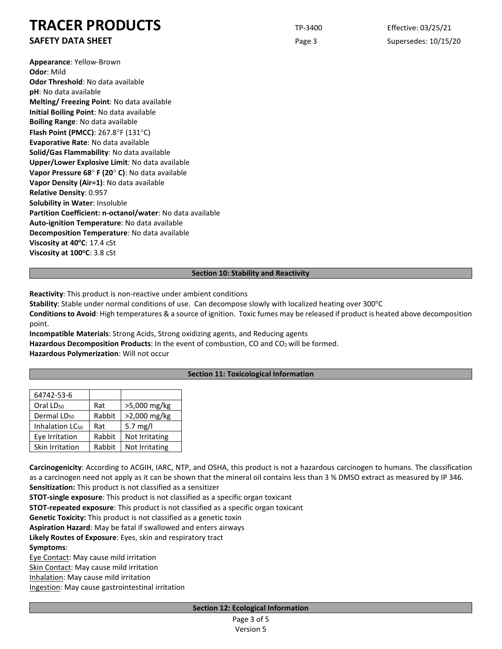**SAFETY DATA SHEET** SUPERFOUR SAFET ASSEMBLY 20 A REPORT OF Page 3 Supersedes: 10/15/20

**Appearance**: Yellow-Brown **Odor**: Mild **Odor Threshold**: No data available **pH**: No data available **Melting/ Freezing Point**: No data available **Initial Boiling Point**: No data available **Boiling Range**: No data available **Flash Point (PMCC)**: 267.8°F (131°C) **Evaporative Rate**: No data available **Solid/Gas Flammability**: No data available **Upper/Lower Explosive Limit**: No data available **Vapor Pressure 68**° **F (20**° **C)**: No data available **Vapor Density (Air=1)**: No data available **Relative Density**: 0.957 **Solubility in Water**: Insoluble **Partition Coefficient: n-octanol/water**: No data available **Auto-ignition Temperature**: No data available **Decomposition Temperature**: No data available Viscosity at 40°C: 17.4 cSt **Viscosity at 100°C: 3.8 cSt** 

#### **Section 10: Stability and Reactivity**

**Reactivity**: This product is non-reactive under ambient conditions

**Stability**: Stable under normal conditions of use. Can decompose slowly with localized heating over 300°C **Conditions to Avoid**: High temperatures & a source of ignition. Toxic fumes may be released if product is heated above decomposition point.

**Incompatible Materials**: Strong Acids, Strong oxidizing agents, and Reducing agents Hazardous Decomposition Products: In the event of combustion, CO and CO<sub>2</sub> will be formed. **Hazardous Polymerization**: Will not occur

# **Section 11: Toxicological Information**

| 64742-53-6                  |        |                |
|-----------------------------|--------|----------------|
| Oral LD <sub>50</sub>       | Rat    | >5,000 mg/kg   |
| Dermal LD <sub>50</sub>     | Rabbit | >2,000 mg/kg   |
| Inhalation LC <sub>50</sub> | Rat    | 5.7 mg/l       |
| Eye Irritation              | Rabbit | Not Irritating |
| Skin Irritation             | Rabbit | Not Irritating |

**Carcinogenicity**: According to ACGIH, IARC, NTP, and OSHA, this product is not a hazardous carcinogen to humans. The classification as a carcinogen need not apply as it can be shown that the mineral oil contains less than 3 % DMSO extract as measured by IP 346. **Sensitization:** This product is not classified as a sensitizer

**STOT-single exposure**: This product is not classified as a specific organ toxicant

**STOT-repeated exposure**: This product is not classified as a specific organ toxicant

**Genetic Toxicity:** This product is not classified as a genetic toxin

**Aspiration Hazard**: May be fatal if swallowed and enters airways

**Likely Routes of Exposure**: Eyes, skin and respiratory tract

**Symptoms**:

Eye Contact: May cause mild irritation

Skin Contact: May cause mild irritation

Inhalation: May cause mild irritation

Ingestion: May cause gastrointestinal irritation

| Page 3 of 5      |  |
|------------------|--|
| <b>Version 5</b> |  |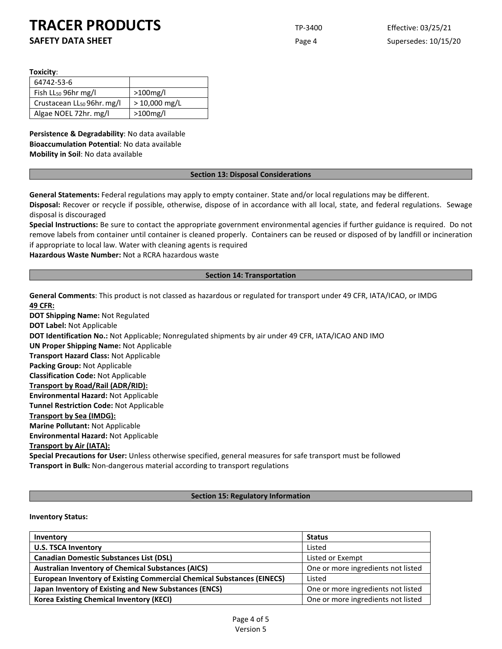**SAFETY DATA SHEET** SUPERFOUR SAFET ASSEMBLY 20 A Supersedes: 10/15/20

**Toxicity**:

| 64742-53-6                             |                 |
|----------------------------------------|-----------------|
| Fish $LL_{50}$ 96hr mg/l               | $>100$ mg/l     |
| Crustacean LL <sub>50</sub> 96hr. mg/l | $> 10,000$ mg/L |
| Algae NOEL 72hr. mg/l                  | $>100$ mg/l     |

**Persistence & Degradability**: No data available **Bioaccumulation Potential**: No data available **Mobility in Soil**: No data available

#### **Section 13: Disposal Considerations**

**General Statements:** Federal regulations may apply to empty container. State and/or local regulations may be different.

**Disposal:** Recover or recycle if possible, otherwise, dispose of in accordance with all local, state, and federal regulations. Sewage disposal is discouraged

**Special Instructions:** Be sure to contact the appropriate government environmental agencies if further guidance is required. Do not remove labels from container until container is cleaned properly. Containers can be reused or disposed of by landfill or incineration if appropriate to local law. Water with cleaning agents is required

**Hazardous Waste Number:** Not a RCRA hazardous waste

# **Section 14: Transportation**

**General Comments**: This product is not classed as hazardous or regulated for transport under 49 CFR, IATA/ICAO, or IMDG **49 CFR:**

**DOT Shipping Name:** Not Regulated **DOT Label:** Not Applicable **DOT Identification No.:** Not Applicable; Nonregulated shipments by air under 49 CFR, IATA/ICAO AND IMO **UN Proper Shipping Name:** Not Applicable **Transport Hazard Class:** Not Applicable **Packing Group:** Not Applicable **Classification Code:** Not Applicable **Transport by Road/Rail (ADR/RID): Environmental Hazard:** Not Applicable **Tunnel Restriction Code:** Not Applicable **Transport by Sea (IMDG): Marine Pollutant:** Not Applicable **Environmental Hazard:** Not Applicable **Transport by Air (IATA): Special Precautions for User:** Unless otherwise specified, general measures for safe transport must be followed **Transport in Bulk:** Non-dangerous material according to transport regulations

# **Section 15: Regulatory Information**

# **Inventory Status:**

| Inventory                                                                     | <b>Status</b>                      |
|-------------------------------------------------------------------------------|------------------------------------|
| <b>U.S. TSCA Inventory</b>                                                    | Listed                             |
| <b>Canadian Domestic Substances List (DSL)</b>                                | Listed or Exempt                   |
| <b>Australian Inventory of Chemical Substances (AICS)</b>                     | One or more ingredients not listed |
| <b>European Inventory of Existing Commercial Chemical Substances (EINECS)</b> | Listed                             |
| Japan Inventory of Existing and New Substances (ENCS)                         | One or more ingredients not listed |
| <b>Korea Existing Chemical Inventory (KECI)</b>                               | One or more ingredients not listed |